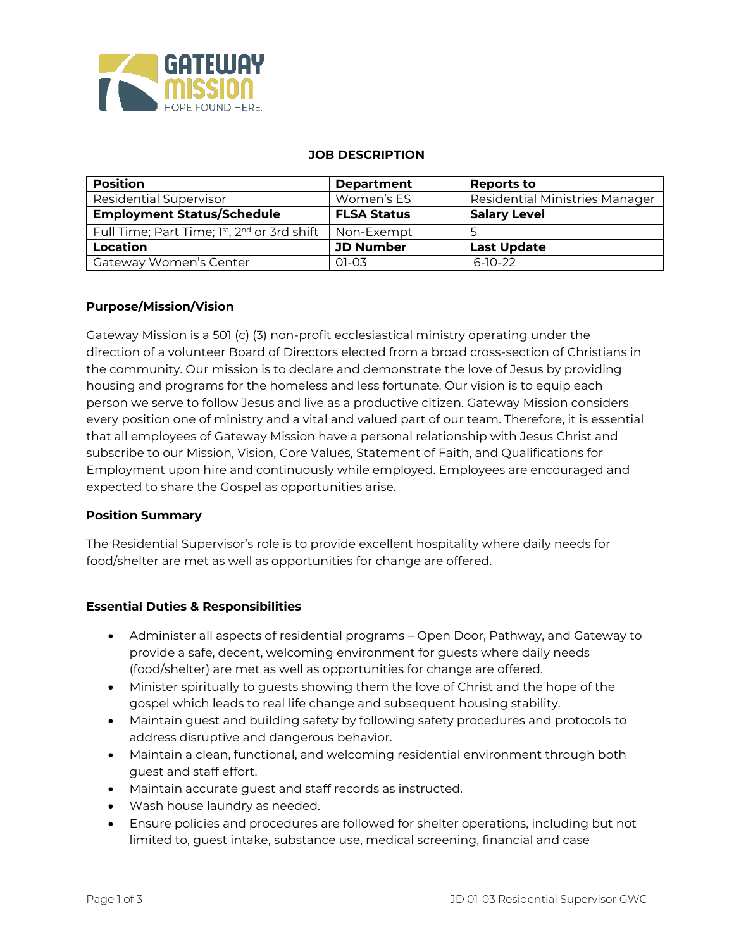

#### **JOB DESCRIPTION**

| <b>Position</b>                             | <b>Department</b>  | Reports to                     |
|---------------------------------------------|--------------------|--------------------------------|
| <b>Residential Supervisor</b>               | Women's ES         | Residential Ministries Manager |
| <b>Employment Status/Schedule</b>           | <b>FLSA Status</b> | <b>Salary Level</b>            |
| Full Time; Part Time; 1st, 2nd or 3rd shift | Non-Exempt         |                                |
| Location                                    | <b>JD Number</b>   | <b>Last Update</b>             |
| Gateway Women's Center                      | $01-03$            | $6-10-22$                      |

### **Purpose/Mission/Vision**

Gateway Mission is a 501 (c) (3) non-profit ecclesiastical ministry operating under the direction of a volunteer Board of Directors elected from a broad cross-section of Christians in the community. Our mission is to declare and demonstrate the love of Jesus by providing housing and programs for the homeless and less fortunate. Our vision is to equip each person we serve to follow Jesus and live as a productive citizen. Gateway Mission considers every position one of ministry and a vital and valued part of our team. Therefore, it is essential that all employees of Gateway Mission have a personal relationship with Jesus Christ and subscribe to our Mission, Vision, Core Values, Statement of Faith, and Qualifications for Employment upon hire and continuously while employed. Employees are encouraged and expected to share the Gospel as opportunities arise.

### **Position Summary**

The Residential Supervisor's role is to provide excellent hospitality where daily needs for food/shelter are met as well as opportunities for change are offered.

### **Essential Duties & Responsibilities**

- Administer all aspects of residential programs Open Door, Pathway, and Gateway to provide a safe, decent, welcoming environment for guests where daily needs (food/shelter) are met as well as opportunities for change are offered.
- Minister spiritually to guests showing them the love of Christ and the hope of the gospel which leads to real life change and subsequent housing stability.
- Maintain guest and building safety by following safety procedures and protocols to address disruptive and dangerous behavior.
- Maintain a clean, functional, and welcoming residential environment through both guest and staff effort.
- Maintain accurate guest and staff records as instructed.
- Wash house laundry as needed.
- Ensure policies and procedures are followed for shelter operations, including but not limited to, guest intake, substance use, medical screening, financial and case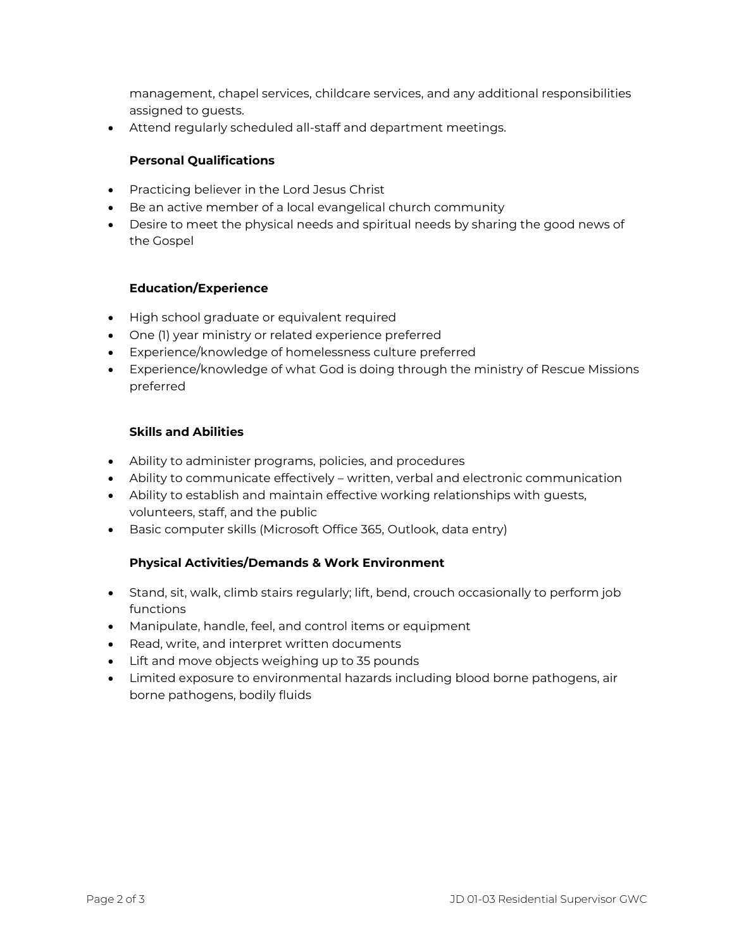management, chapel services, childcare services, and any additional responsibilities assigned to guests.

• Attend regularly scheduled all-staff and department meetings.

## **Personal Qualifications**

- Practicing believer in the Lord Jesus Christ
- Be an active member of a local evangelical church community
- Desire to meet the physical needs and spiritual needs by sharing the good news of the Gospel

# **Education/Experience**

- High school graduate or equivalent required
- One (1) year ministry or related experience preferred
- Experience/knowledge of homelessness culture preferred
- Experience/knowledge of what God is doing through the ministry of Rescue Missions preferred

# **Skills and Abilities**

- Ability to administer programs, policies, and procedures
- Ability to communicate effectively written, verbal and electronic communication
- Ability to establish and maintain effective working relationships with guests, volunteers, staff, and the public
- Basic computer skills (Microsoft Office 365, Outlook, data entry)

## **Physical Activities/Demands & Work Environment**

- Stand, sit, walk, climb stairs regularly; lift, bend, crouch occasionally to perform job functions
- Manipulate, handle, feel, and control items or equipment
- Read, write, and interpret written documents
- Lift and move objects weighing up to 35 pounds
- Limited exposure to environmental hazards including blood borne pathogens, air borne pathogens, bodily fluids